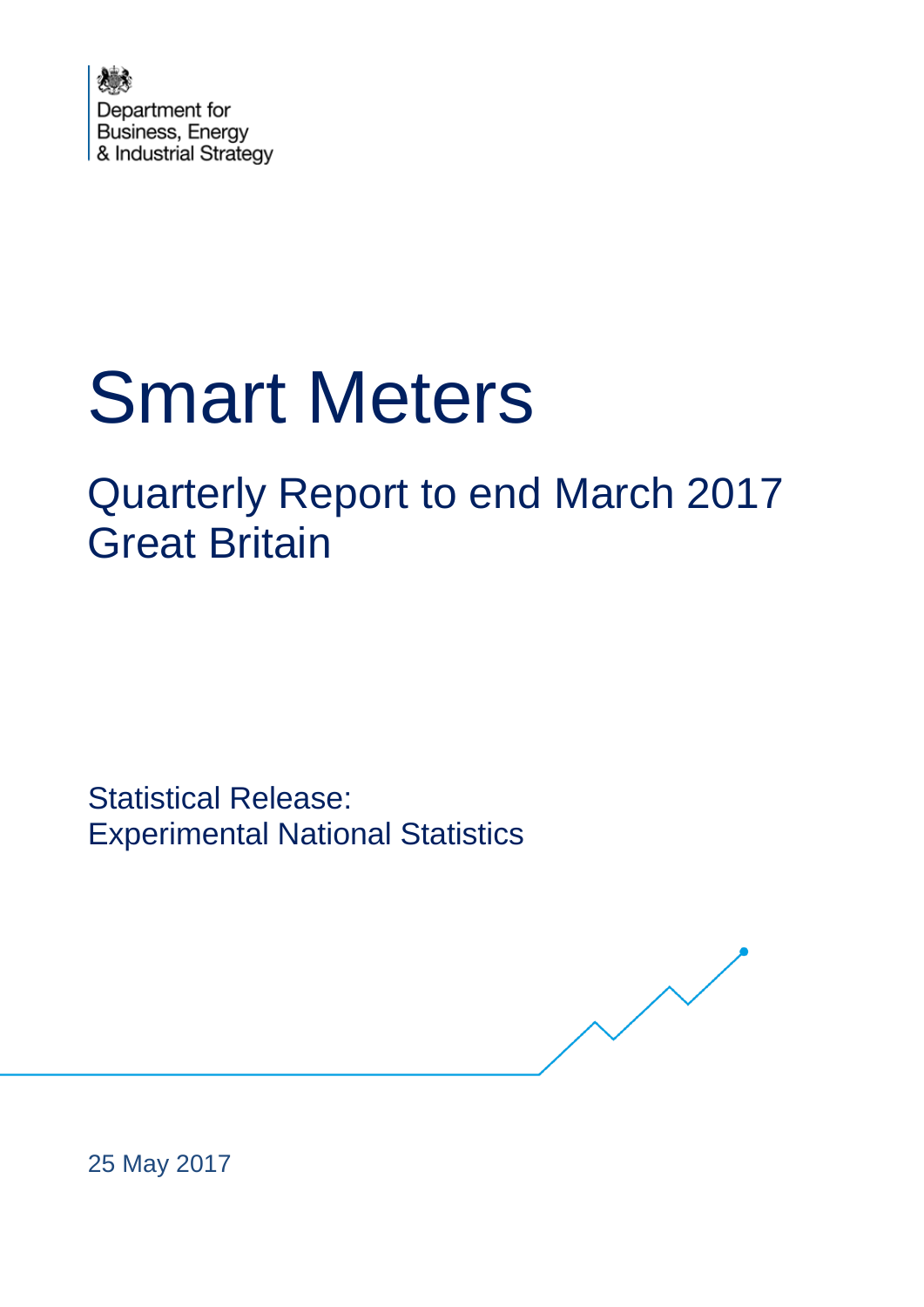

# Smart Meters

# Quarterly Report to end March 2017 Great Britain

Statistical Release: Experimental National Statistics

25 May 2017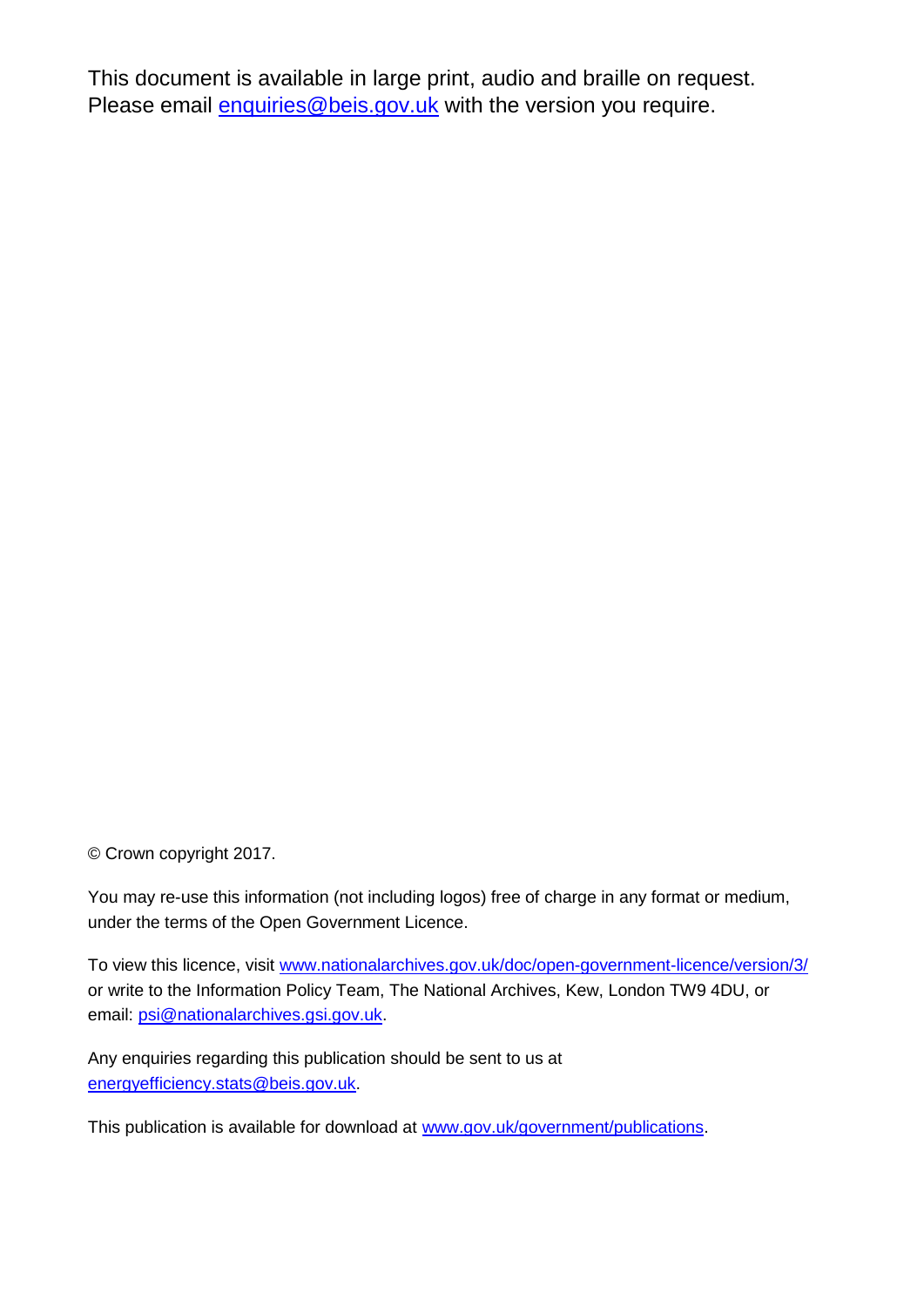This document is available in large print, audio and braille on request. Please email [enquiries@beis.gov.uk](mailto:enquiries@beis.gov.uk) with the version you require.

© Crown copyright 2017.

You may re-use this information (not including logos) free of charge in any format or medium, under the terms of the Open Government Licence.

To view this licence, visit [www.nationalarchives.gov.uk/doc/open-government-licence/version/3/](http://www.nationalarchives.gov.uk/doc/open-government-licence/version/3/) or write to the Information Policy Team, The National Archives, Kew, London TW9 4DU, or email: [psi@nationalarchives.gsi.gov.uk.](mailto:psi@nationalarchives.gsi.gov.uk)

Any enquiries regarding this publication should be sent to us at [energyefficiency.stats@beis.gov.uk.](mailto:energyefficiency.stats@beis.gov.uk)

This publication is available for download at [www.gov.uk/government/publications.](http://www.gov.uk/government/publications)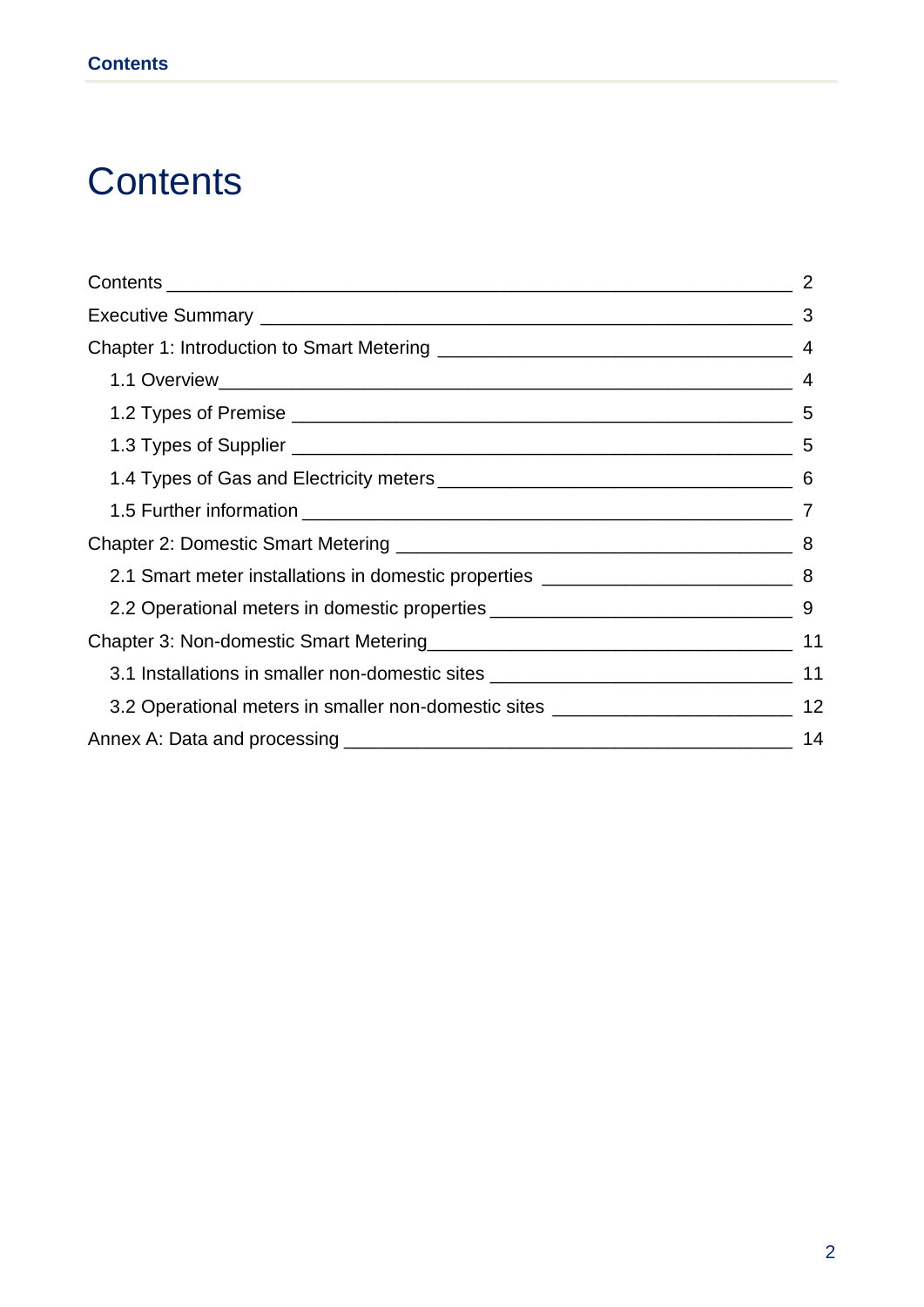# <span id="page-2-0"></span>**Contents**

|                                                                                     | 3  |
|-------------------------------------------------------------------------------------|----|
|                                                                                     | 4  |
|                                                                                     | 4  |
|                                                                                     | 5  |
|                                                                                     | 5  |
|                                                                                     | 6  |
|                                                                                     |    |
|                                                                                     | 8  |
|                                                                                     |    |
|                                                                                     |    |
|                                                                                     |    |
|                                                                                     |    |
| 3.2 Operational meters in smaller non-domestic sites ___________________________ 12 |    |
|                                                                                     | 14 |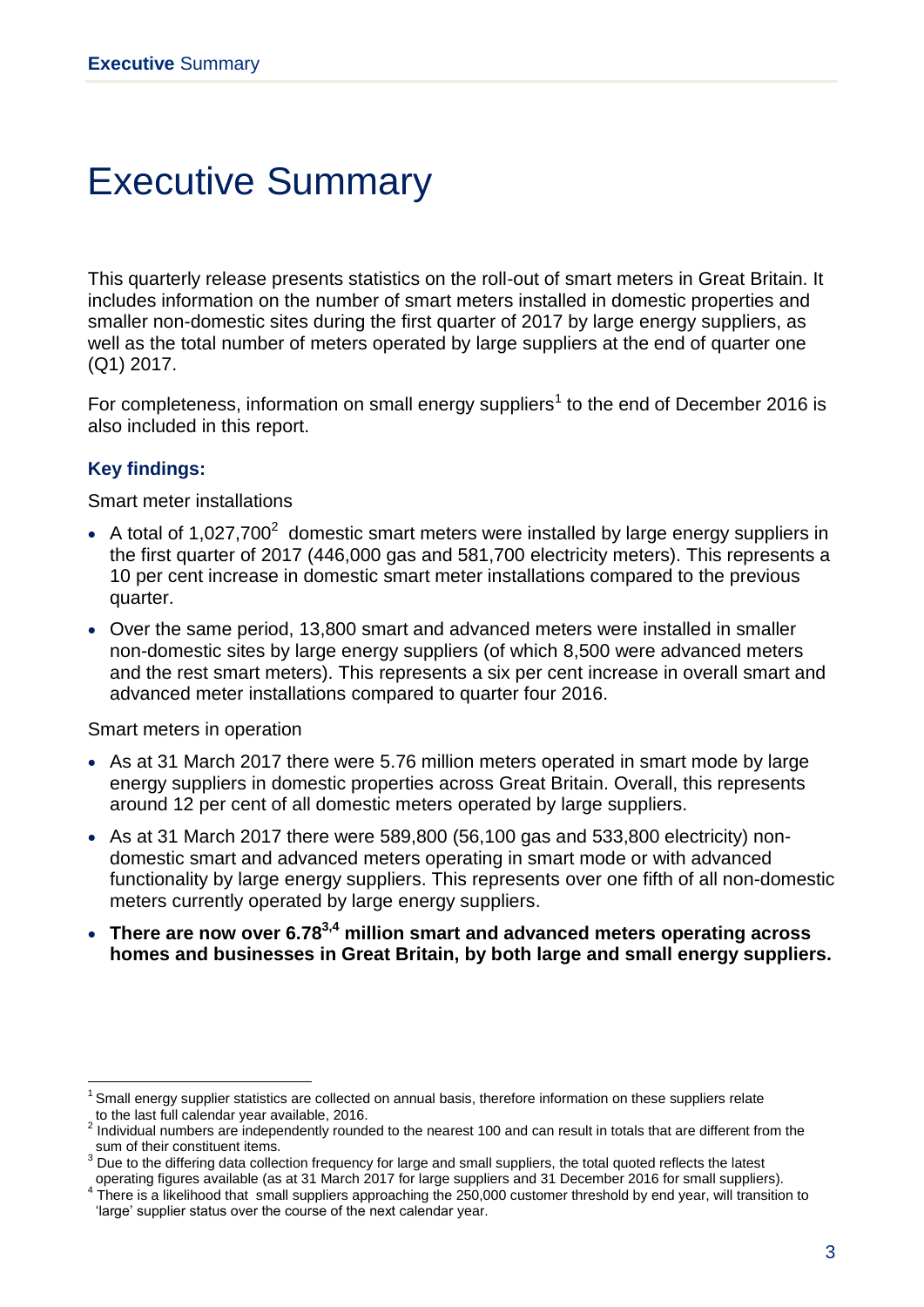# <span id="page-3-0"></span>Executive Summary

This quarterly release presents statistics on the roll-out of smart meters in Great Britain. It includes information on the number of smart meters installed in domestic properties and smaller non-domestic sites during the first quarter of 2017 by large energy suppliers, as well as the total number of meters operated by large suppliers at the end of quarter one (Q1) 2017.

For completeness, information on small energy suppliers<sup>1</sup> to the end of December 2016 is also included in this report.

#### **Key findings:**

Smart meter installations

- A total of 1,027,700<sup>2</sup> domestic smart meters were installed by large energy suppliers in the first quarter of 2017 (446,000 gas and 581,700 electricity meters). This represents a 10 per cent increase in domestic smart meter installations compared to the previous quarter.
- Over the same period, 13,800 smart and advanced meters were installed in smaller non-domestic sites by large energy suppliers (of which 8,500 were advanced meters and the rest smart meters). This represents a six per cent increase in overall smart and advanced meter installations compared to quarter four 2016.

Smart meters in operation

1

- As at 31 March 2017 there were 5.76 million meters operated in smart mode by large energy suppliers in domestic properties across Great Britain. Overall, this represents around 12 per cent of all domestic meters operated by large suppliers.
- $\bullet$  As at 31 March 2017 there were 589,800 (56,100 gas and 533,800 electricity) nondomestic smart and advanced meters operating in smart mode or with advanced functionality by large energy suppliers. This represents over one fifth of all non-domestic meters currently operated by large energy suppliers.
- **There are now over 6.783,4 million smart and advanced meters operating across homes and businesses in Great Britain, by both large and small energy suppliers.**

<sup>&</sup>lt;sup>1</sup> Small energy supplier statistics are collected on annual basis, therefore information on these suppliers relate to the last full calendar year available, 2016.

 $2$  Individual numbers are independently rounded to the nearest 100 and can result in totals that are different from the sum of their constituent items.

<sup>&</sup>lt;sup>3</sup> Due to the differing data collection frequency for large and small suppliers, the total quoted reflects the latest

operating figures available (as at 31 March 2017 for large suppliers and 31 December 2016 for small suppliers). 4 There is a likelihood that small suppliers approaching the 250,000 customer threshold by end year, will transition to 'large' supplier status over the course of the next calendar year.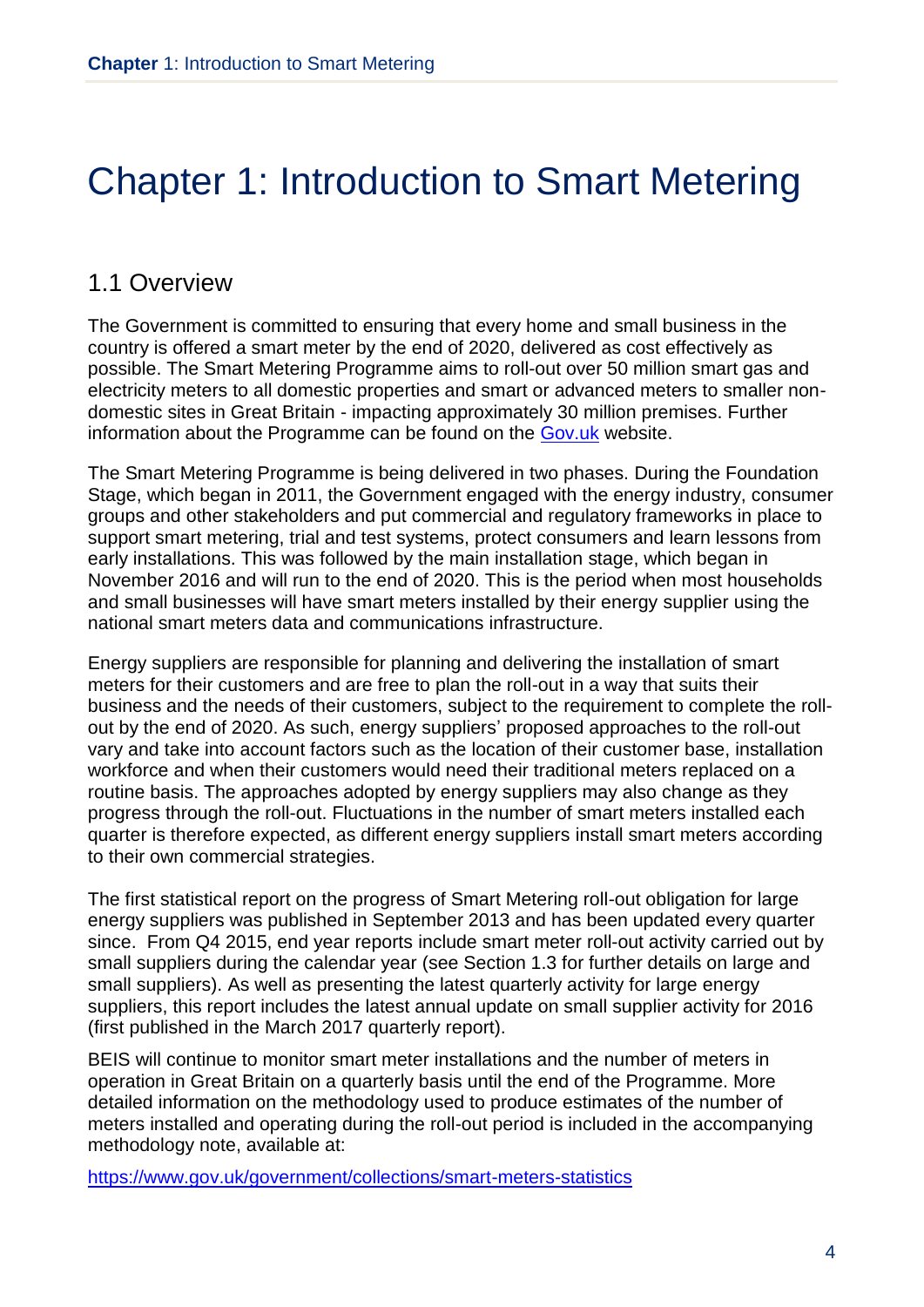# <span id="page-4-0"></span>Chapter 1: Introduction to Smart Metering

### <span id="page-4-1"></span>1.1 Overview

The Government is committed to ensuring that every home and small business in the country is offered a smart meter by the end of 2020, delivered as cost effectively as possible. The Smart Metering Programme aims to roll-out over 50 million smart gas and electricity meters to all domestic properties and smart or advanced meters to smaller nondomestic sites in Great Britain - impacting approximately 30 million premises. Further information about the Programme can be found on the [Gov.uk](https://www.gov.uk/guidance/smart-meters-how-they-work) website.

The Smart Metering Programme is being delivered in two phases. During the Foundation Stage, which began in 2011, the Government engaged with the energy industry, consumer groups and other stakeholders and put commercial and regulatory frameworks in place to support smart metering, trial and test systems, protect consumers and learn lessons from early installations. This was followed by the main installation stage, which began in November 2016 and will run to the end of 2020. This is the period when most households and small businesses will have smart meters installed by their energy supplier using the national smart meters data and communications infrastructure.

Energy suppliers are responsible for planning and delivering the installation of smart meters for their customers and are free to plan the roll-out in a way that suits their business and the needs of their customers, subject to the requirement to complete the rollout by the end of 2020. As such, energy suppliers' proposed approaches to the roll-out vary and take into account factors such as the location of their customer base, installation workforce and when their customers would need their traditional meters replaced on a routine basis. The approaches adopted by energy suppliers may also change as they progress through the roll-out. Fluctuations in the number of smart meters installed each quarter is therefore expected, as different energy suppliers install smart meters according to their own commercial strategies.

The first statistical report on the progress of Smart Metering roll-out obligation for large energy suppliers was published in September 2013 and has been updated every quarter since. From Q4 2015, end year reports include smart meter roll-out activity carried out by small suppliers during the calendar year (see Section 1.3 for further details on large and small suppliers). As well as presenting the latest quarterly activity for large energy suppliers, this report includes the latest annual update on small supplier activity for 2016 (first published in the March 2017 quarterly report).

BEIS will continue to monitor smart meter installations and the number of meters in operation in Great Britain on a quarterly basis until the end of the Programme. More detailed information on the methodology used to produce estimates of the number of meters installed and operating during the roll-out period is included in the accompanying methodology note, available at:

<https://www.gov.uk/government/collections/smart-meters-statistics>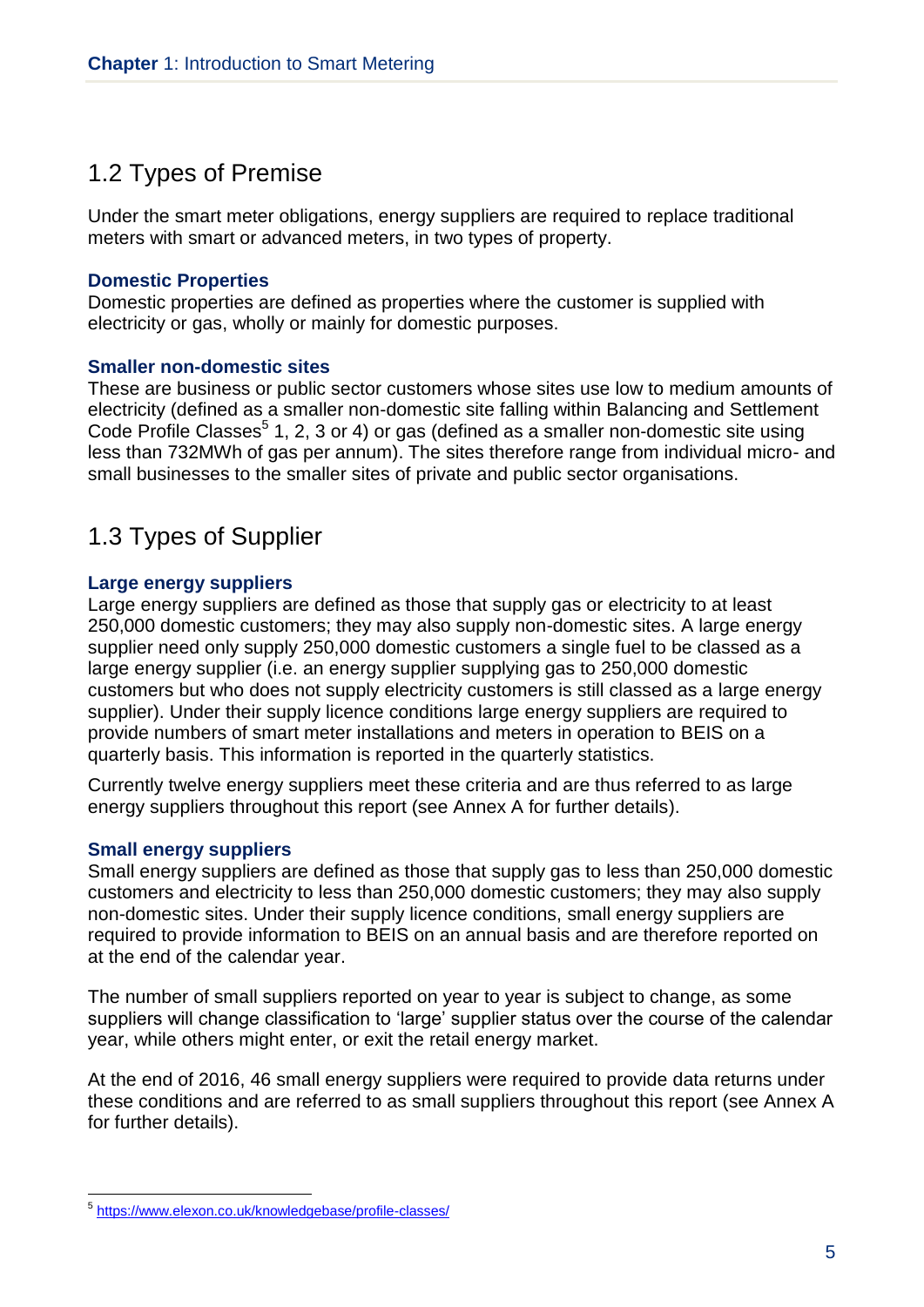## <span id="page-5-0"></span>1.2 Types of Premise

Under the smart meter obligations, energy suppliers are required to replace traditional meters with smart or advanced meters, in two types of property.

#### **Domestic Properties**

Domestic properties are defined as properties where the customer is supplied with electricity or gas, wholly or mainly for domestic purposes.

#### **Smaller non-domestic sites**

These are business or public sector customers whose sites use low to medium amounts of electricity (defined as a smaller non-domestic site falling within Balancing and Settlement Code Profile Classes<sup>5</sup> 1, 2, 3 or 4) or gas (defined as a smaller non-domestic site using less than 732MWh of gas per annum). The sites therefore range from individual micro- and small businesses to the smaller sites of private and public sector organisations.

# <span id="page-5-1"></span>1.3 Types of Supplier

#### **Large energy suppliers**

Large energy suppliers are defined as those that supply gas or electricity to at least 250,000 domestic customers; they may also supply non-domestic sites. A large energy supplier need only supply 250,000 domestic customers a single fuel to be classed as a large energy supplier (i.e. an energy supplier supplying gas to 250,000 domestic customers but who does not supply electricity customers is still classed as a large energy supplier). Under their supply licence conditions large energy suppliers are required to provide numbers of smart meter installations and meters in operation to BEIS on a quarterly basis. This information is reported in the quarterly statistics.

Currently twelve energy suppliers meet these criteria and are thus referred to as large energy suppliers throughout this report (see Annex A for further details).

#### **Small energy suppliers**

Small energy suppliers are defined as those that supply gas to less than 250,000 domestic customers and electricity to less than 250,000 domestic customers; they may also supply non-domestic sites. Under their supply licence conditions, small energy suppliers are required to provide information to BEIS on an annual basis and are therefore reported on at the end of the calendar year.

The number of small suppliers reported on year to year is subject to change, as some suppliers will change classification to 'large' supplier status over the course of the calendar year, while others might enter, or exit the retail energy market.

At the end of 2016, 46 small energy suppliers were required to provide data returns under these conditions and are referred to as small suppliers throughout this report (see Annex A for further details).

<sup>1</sup> 5 <https://www.elexon.co.uk/knowledgebase/profile-classes/>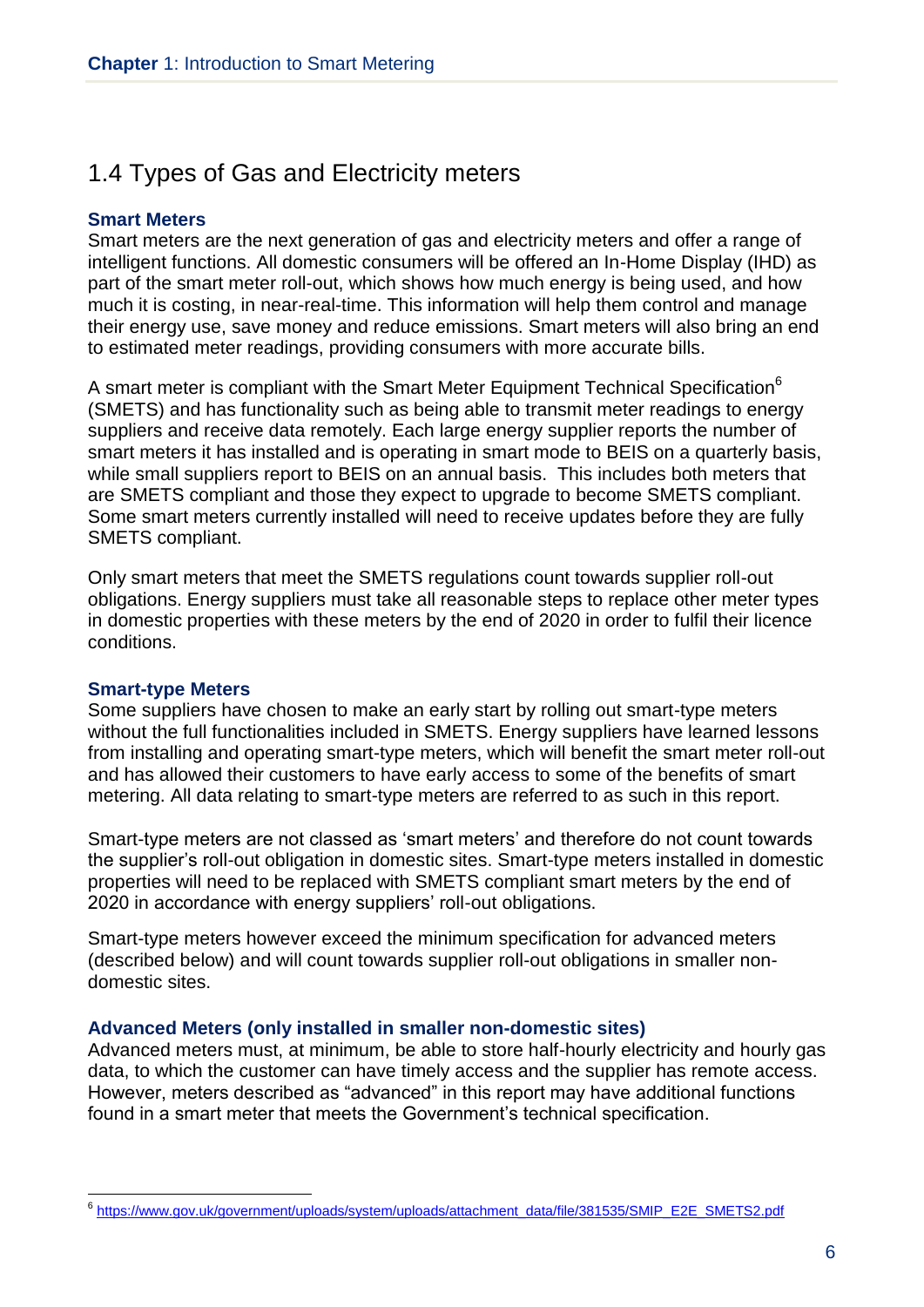### <span id="page-6-0"></span>1.4 Types of Gas and Electricity meters

#### **Smart Meters**

Smart meters are the next generation of gas and electricity meters and offer a range of intelligent functions. All domestic consumers will be offered an In-Home Display (IHD) as part of the smart meter roll-out, which shows how much energy is being used, and how much it is costing, in near-real-time. This information will help them control and manage their energy use, save money and reduce emissions. Smart meters will also bring an end to estimated meter readings, providing consumers with more accurate bills.

A smart meter is compliant with the Smart Meter Equipment Technical Specification $<sup>6</sup>$ </sup> (SMETS) and has functionality such as being able to transmit meter readings to energy suppliers and receive data remotely. Each large energy supplier reports the number of smart meters it has installed and is operating in smart mode to BEIS on a quarterly basis, while small suppliers report to BEIS on an annual basis. This includes both meters that are SMETS compliant and those they expect to upgrade to become SMETS compliant. Some smart meters currently installed will need to receive updates before they are fully SMETS compliant.

Only smart meters that meet the SMETS regulations count towards supplier roll-out obligations. Energy suppliers must take all reasonable steps to replace other meter types in domestic properties with these meters by the end of 2020 in order to fulfil their licence conditions.

#### **Smart-type Meters**

1

Some suppliers have chosen to make an early start by rolling out smart-type meters without the full functionalities included in SMETS. Energy suppliers have learned lessons from installing and operating smart-type meters, which will benefit the smart meter roll-out and has allowed their customers to have early access to some of the benefits of smart metering. All data relating to smart-type meters are referred to as such in this report.

Smart-type meters are not classed as 'smart meters' and therefore do not count towards the supplier's roll-out obligation in domestic sites. Smart-type meters installed in domestic properties will need to be replaced with SMETS compliant smart meters by the end of 2020 in accordance with energy suppliers' roll-out obligations.

Smart-type meters however exceed the minimum specification for advanced meters (described below) and will count towards supplier roll-out obligations in smaller nondomestic sites.

#### **Advanced Meters (only installed in smaller non-domestic sites)**

Advanced meters must, at minimum, be able to store half-hourly electricity and hourly gas data, to which the customer can have timely access and the supplier has remote access. However, meters described as "advanced" in this report may have additional functions found in a smart meter that meets the Government's technical specification.

<sup>&</sup>lt;sup>6</sup> [https://www.gov.uk/government/uploads/system/uploads/attachment\\_data/file/381535/SMIP\\_E2E\\_SMETS2.pdf](https://www.gov.uk/government/uploads/system/uploads/attachment_data/file/381535/SMIP_E2E_SMETS2.pdf)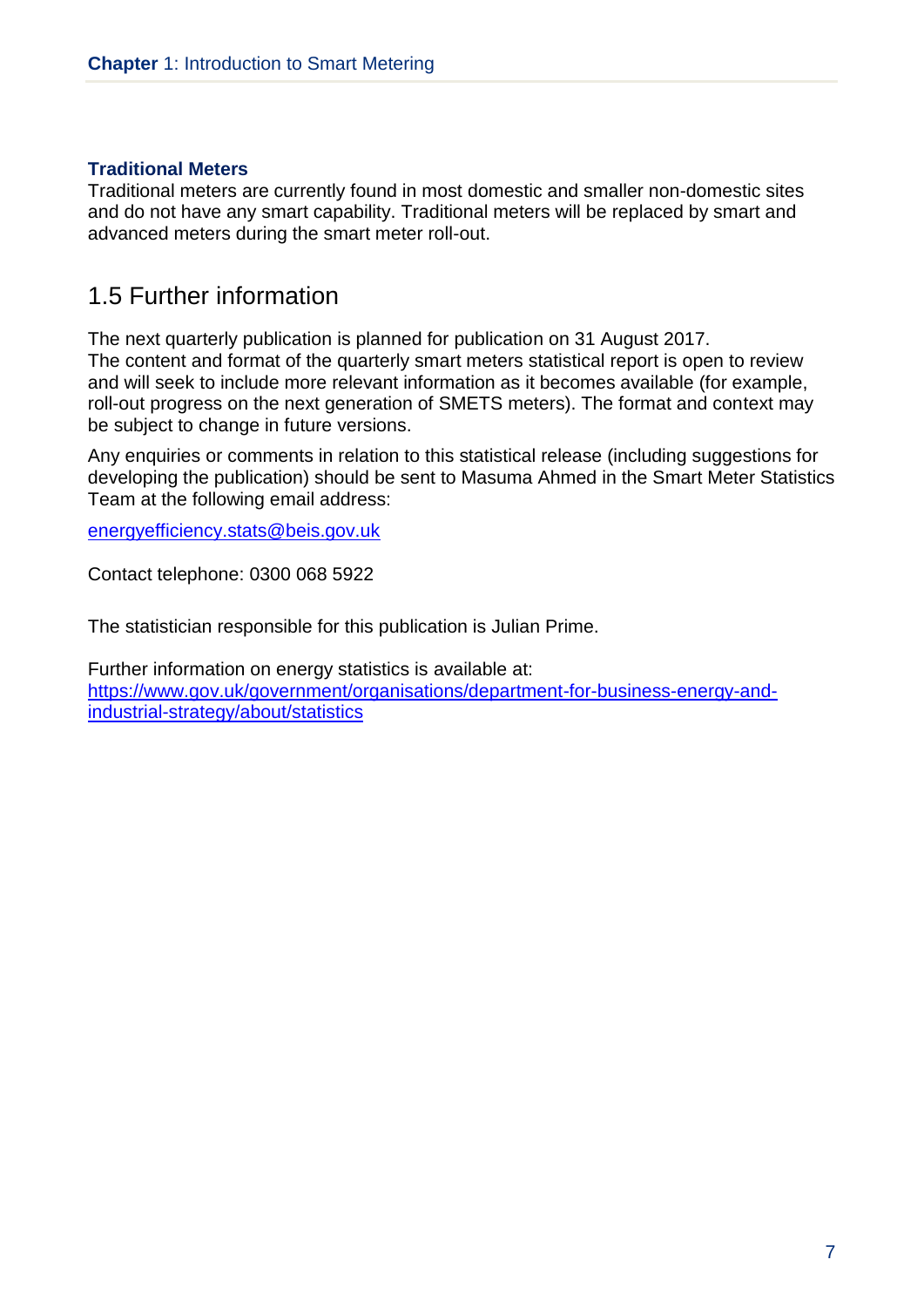#### **Traditional Meters**

Traditional meters are currently found in most domestic and smaller non-domestic sites and do not have any smart capability. Traditional meters will be replaced by smart and advanced meters during the smart meter roll-out.

### <span id="page-7-0"></span>1.5 Further information

The next quarterly publication is planned for publication on 31 August 2017. The content and format of the quarterly smart meters statistical report is open to review and will seek to include more relevant information as it becomes available (for example, roll-out progress on the next generation of SMETS meters). The format and context may be subject to change in future versions.

Any enquiries or comments in relation to this statistical release (including suggestions for developing the publication) should be sent to Masuma Ahmed in the Smart Meter Statistics Team at the following email address:

[energyefficiency.stats@beis.gov.uk](mailto:energyefficiency.stats@beis.gov.uk)

Contact telephone: 0300 068 5922

The statistician responsible for this publication is Julian Prime.

Further information on energy statistics is available at: [https://www.gov.uk/government/organisations/department-for-business-energy-and](https://www.gov.uk/government/organisations/department-for-business-energy-and-industrial-strategy/about/statistics)[industrial-strategy/about/statistics](https://www.gov.uk/government/organisations/department-for-business-energy-and-industrial-strategy/about/statistics)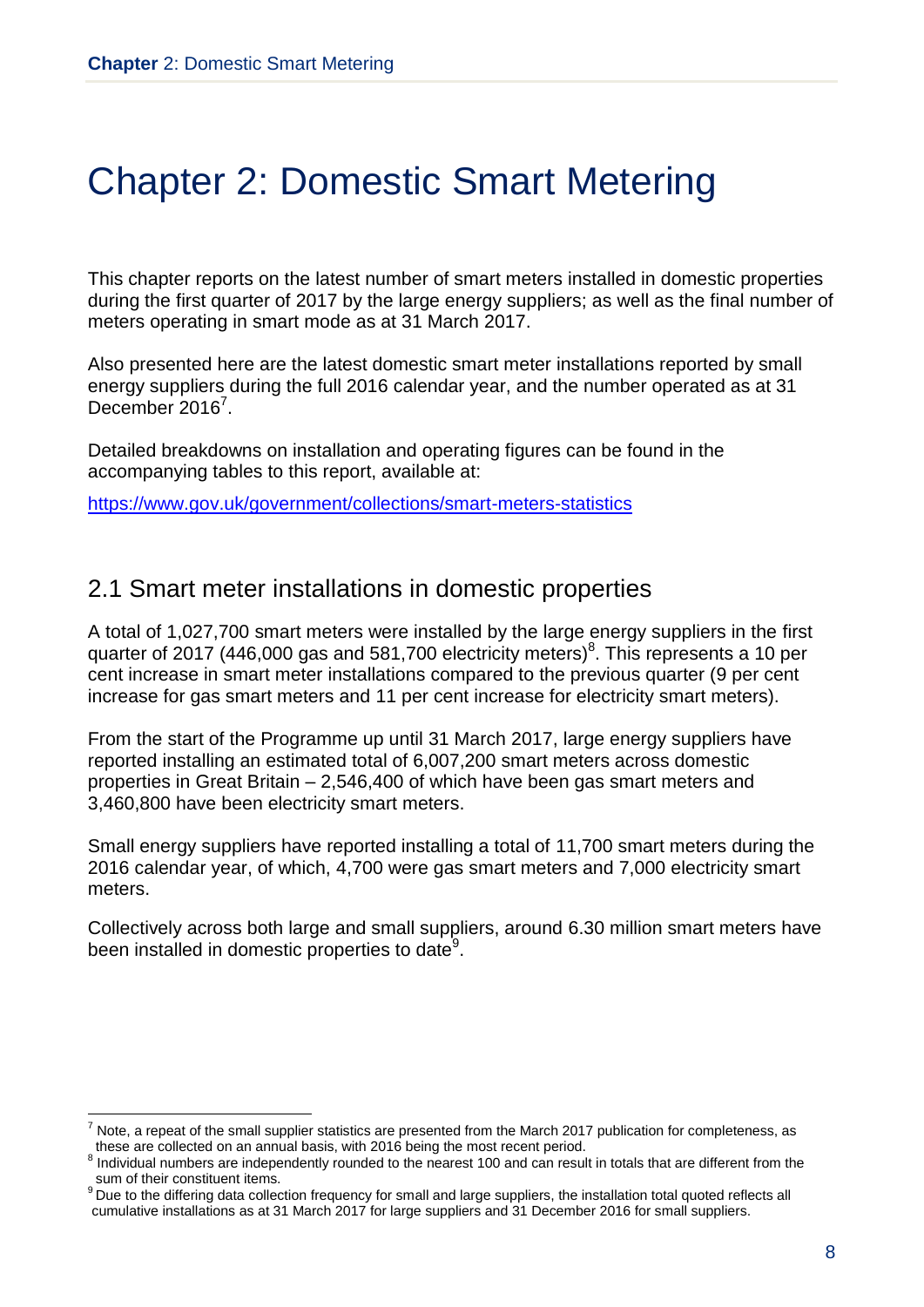# <span id="page-8-0"></span>Chapter 2: Domestic Smart Metering

This chapter reports on the latest number of smart meters installed in domestic properties during the first quarter of 2017 by the large energy suppliers; as well as the final number of meters operating in smart mode as at 31 March 2017.

Also presented here are the latest domestic smart meter installations reported by small energy suppliers during the full 2016 calendar year, and the number operated as at 31 December 2016<sup>7</sup>.

Detailed breakdowns on installation and operating figures can be found in the accompanying tables to this report, available at:

<https://www.gov.uk/government/collections/smart-meters-statistics>

### <span id="page-8-1"></span>2.1 Smart meter installations in domestic properties

A total of 1,027,700 smart meters were installed by the large energy suppliers in the first quarter of 2017 (446,000 gas and 581,700 electricity meters)<sup>8</sup>. This represents a 10 per cent increase in smart meter installations compared to the previous quarter (9 per cent increase for gas smart meters and 11 per cent increase for electricity smart meters).

From the start of the Programme up until 31 March 2017, large energy suppliers have reported installing an estimated total of 6,007,200 smart meters across domestic properties in Great Britain – 2,546,400 of which have been gas smart meters and 3,460,800 have been electricity smart meters.

Small energy suppliers have reported installing a total of 11,700 smart meters during the 2016 calendar year, of which, 4,700 were gas smart meters and 7,000 electricity smart meters.

Collectively across both large and small suppliers, around 6.30 million smart meters have been installed in domestic properties to date<sup>9</sup>.

<u>.</u>

Note, a repeat of the small supplier statistics are presented from the March 2017 publication for completeness, as these are collected on an annual basis, with 2016 being the most recent period.

<sup>&</sup>lt;sup>8</sup> Individual numbers are independently rounded to the nearest 100 and can result in totals that are different from the sum of their constituent items.

<sup>&</sup>lt;sup>9</sup> Due to the differing data collection frequency for small and large suppliers, the installation total quoted reflects all cumulative installations as at 31 March 2017 for large suppliers and 31 December 2016 for small suppliers.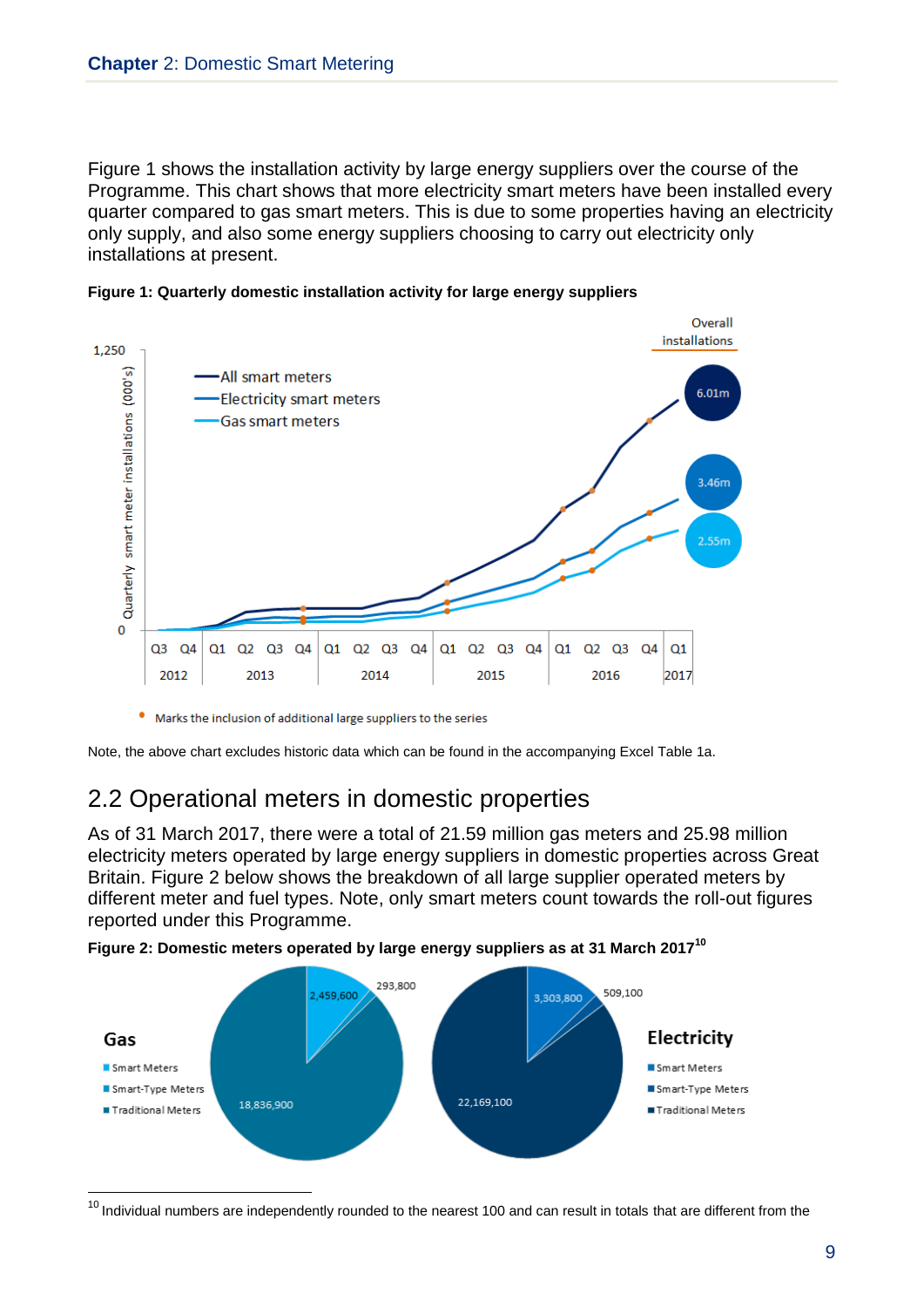Figure 1 shows the installation activity by large energy suppliers over the course of the Programme. This chart shows that more electricity smart meters have been installed every quarter compared to gas smart meters. This is due to some properties having an electricity only supply, and also some energy suppliers choosing to carry out electricity only installations at present.





• Marks the inclusion of additional large suppliers to the series

1

<span id="page-9-0"></span>Note, the above chart excludes historic data which can be found in the accompanying Excel Table 1a.

## 2.2 Operational meters in domestic properties

As of 31 March 2017, there were a total of 21.59 million gas meters and 25.98 million electricity meters operated by large energy suppliers in domestic properties across Great Britain. Figure 2 below shows the breakdown of all large supplier operated meters by different meter and fuel types. Note, only smart meters count towards the roll-out figures reported under this Programme.





 $10$  Individual numbers are independently rounded to the nearest 100 and can result in totals that are different from the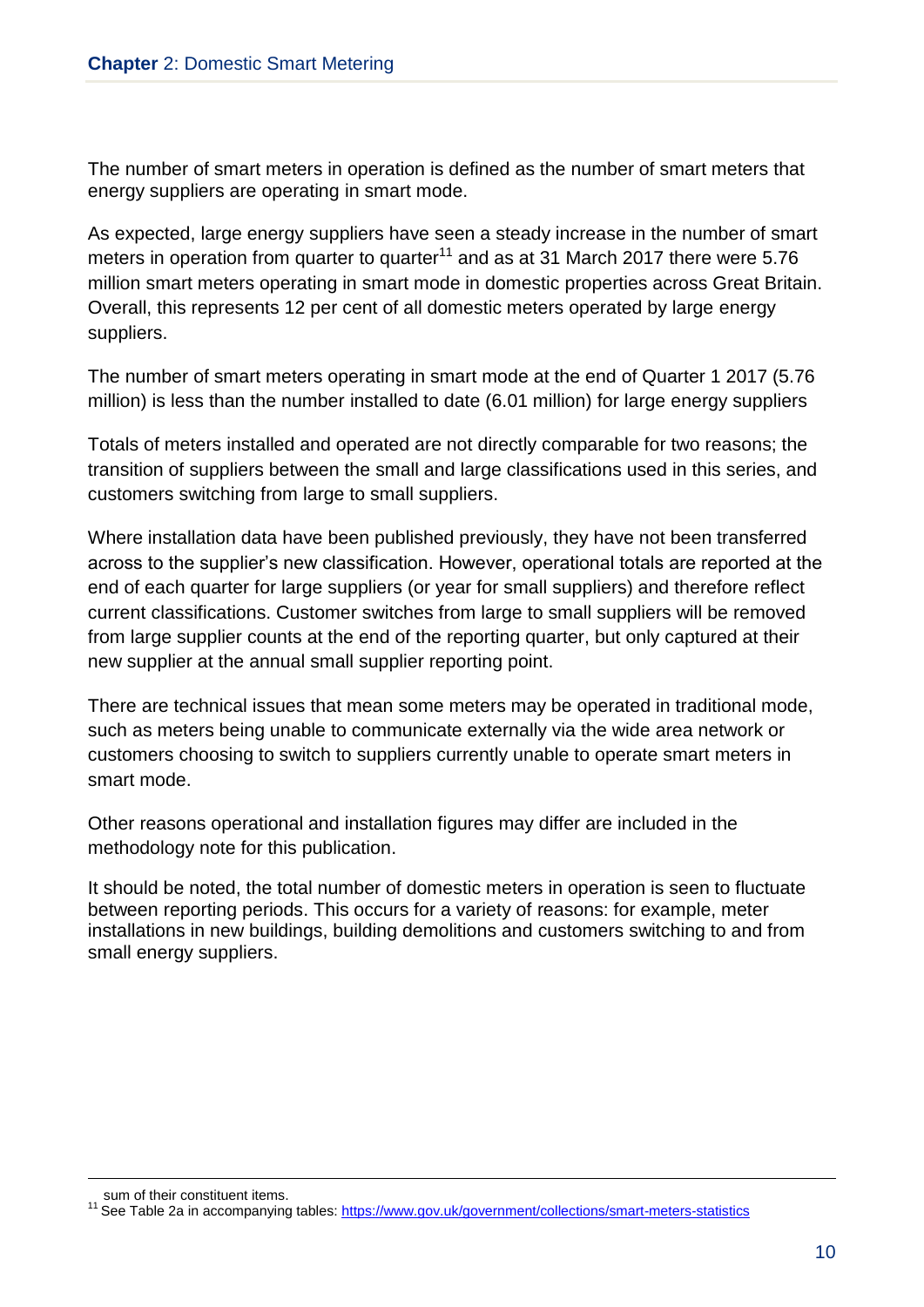The number of smart meters in operation is defined as the number of smart meters that energy suppliers are operating in smart mode.

As expected, large energy suppliers have seen a steady increase in the number of smart meters in operation from quarter to quarter<sup>11</sup> and as at 31 March 2017 there were 5.76 million smart meters operating in smart mode in domestic properties across Great Britain. Overall, this represents 12 per cent of all domestic meters operated by large energy suppliers.

The number of smart meters operating in smart mode at the end of Quarter 1 2017 (5.76 million) is less than the number installed to date (6.01 million) for large energy suppliers

Totals of meters installed and operated are not directly comparable for two reasons; the transition of suppliers between the small and large classifications used in this series, and customers switching from large to small suppliers.

Where installation data have been published previously, they have not been transferred across to the supplier's new classification. However, operational totals are reported at the end of each quarter for large suppliers (or year for small suppliers) and therefore reflect current classifications. Customer switches from large to small suppliers will be removed from large supplier counts at the end of the reporting quarter, but only captured at their new supplier at the annual small supplier reporting point.

There are technical issues that mean some meters may be operated in traditional mode, such as meters being unable to communicate externally via the wide area network or customers choosing to switch to suppliers currently unable to operate smart meters in smart mode.

Other reasons operational and installation figures may differ are included in the methodology note for this publication.

It should be noted, the total number of domestic meters in operation is seen to fluctuate between reporting periods. This occurs for a variety of reasons: for example, meter installations in new buildings, building demolitions and customers switching to and from small energy suppliers.

1

sum of their constituent items.

<sup>&</sup>lt;sup>11</sup> See Table 2a in accompanying tables:<https://www.gov.uk/government/collections/smart-meters-statistics>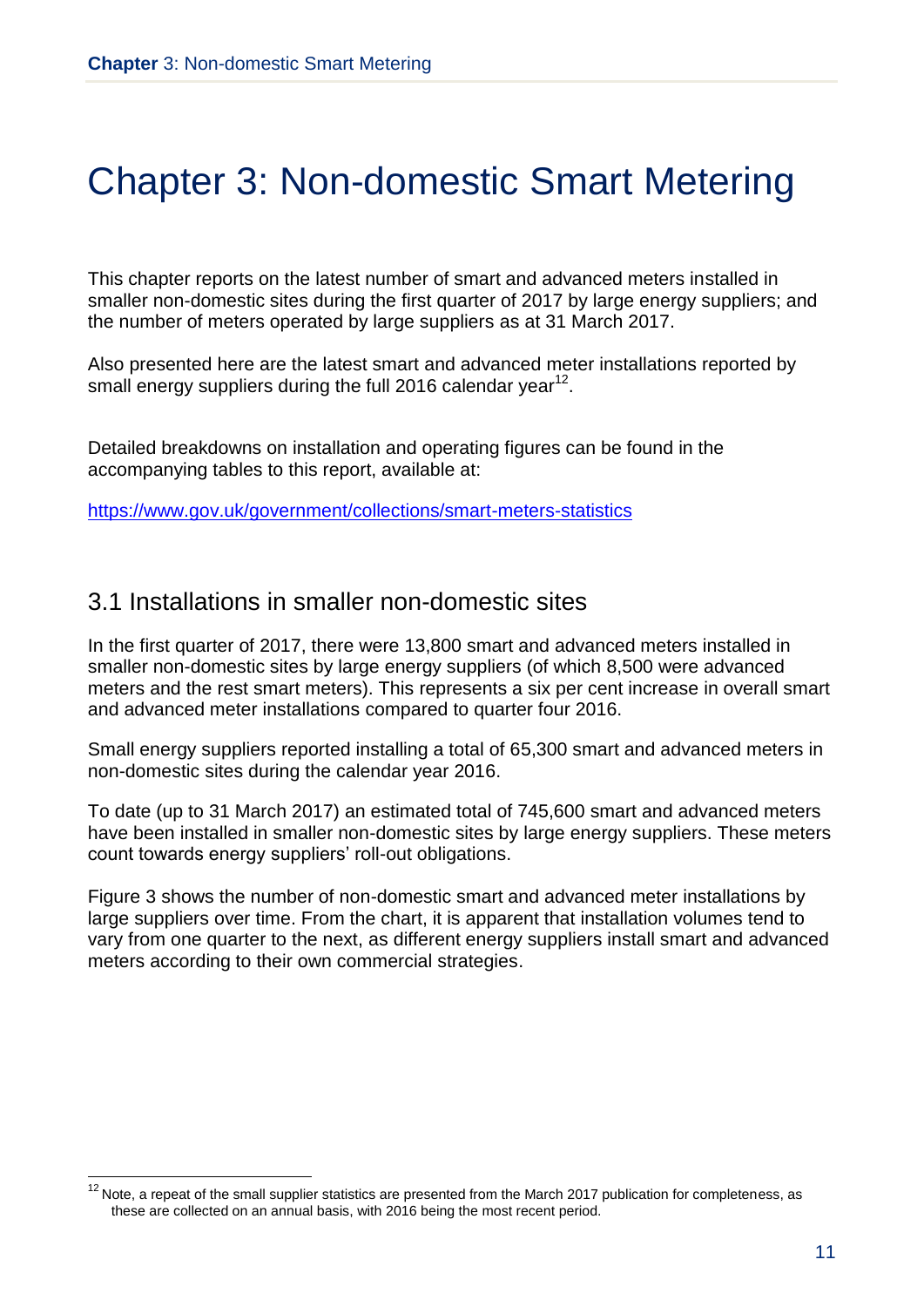# <span id="page-11-0"></span>Chapter 3: Non-domestic Smart Metering

This chapter reports on the latest number of smart and advanced meters installed in smaller non-domestic sites during the first quarter of 2017 by large energy suppliers; and the number of meters operated by large suppliers as at 31 March 2017.

Also presented here are the latest smart and advanced meter installations reported by small energy suppliers during the full 2016 calendar year $^{12}$ .

Detailed breakdowns on installation and operating figures can be found in the accompanying tables to this report, available at:

<https://www.gov.uk/government/collections/smart-meters-statistics>

### <span id="page-11-1"></span>3.1 Installations in smaller non-domestic sites

In the first quarter of 2017, there were 13,800 smart and advanced meters installed in smaller non-domestic sites by large energy suppliers (of which 8,500 were advanced meters and the rest smart meters). This represents a six per cent increase in overall smart and advanced meter installations compared to quarter four 2016.

Small energy suppliers reported installing a total of 65,300 smart and advanced meters in non-domestic sites during the calendar year 2016.

To date (up to 31 March 2017) an estimated total of 745,600 smart and advanced meters have been installed in smaller non-domestic sites by large energy suppliers. These meters count towards energy suppliers' roll-out obligations.

Figure 3 shows the number of non-domestic smart and advanced meter installations by large suppliers over time. From the chart, it is apparent that installation volumes tend to vary from one quarter to the next, as different energy suppliers install smart and advanced meters according to their own commercial strategies.

1

 $12$  Note, a repeat of the small supplier statistics are presented from the March 2017 publication for completeness, as these are collected on an annual basis, with 2016 being the most recent period.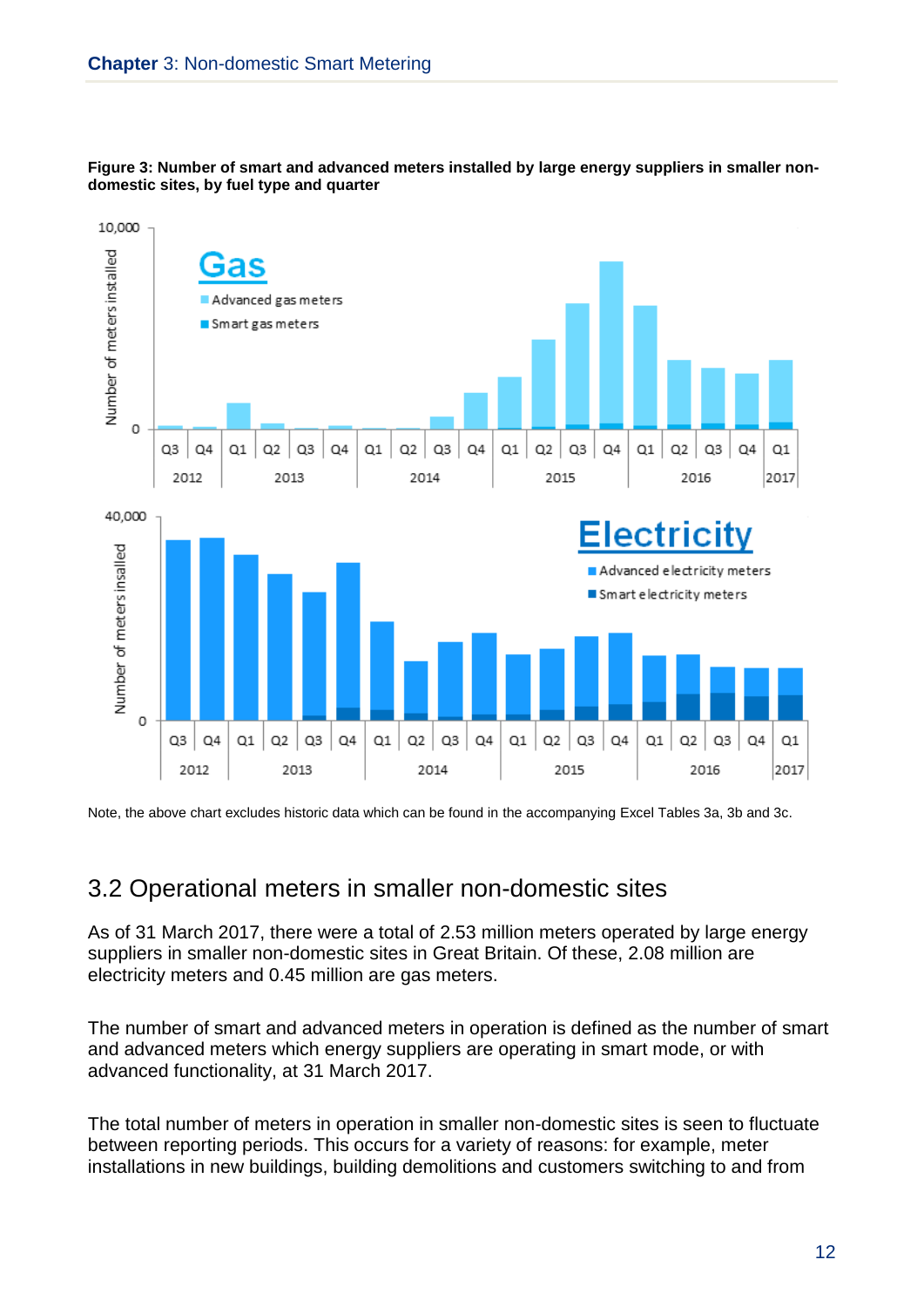

**Figure 3: Number of smart and advanced meters installed by large energy suppliers in smaller nondomestic sites, by fuel type and quarter**

<span id="page-12-0"></span>Note, the above chart excludes historic data which can be found in the accompanying Excel Tables 3a, 3b and 3c.

## 3.2 Operational meters in smaller non-domestic sites

As of 31 March 2017, there were a total of 2.53 million meters operated by large energy suppliers in smaller non-domestic sites in Great Britain. Of these, 2.08 million are electricity meters and 0.45 million are gas meters.

The number of smart and advanced meters in operation is defined as the number of smart and advanced meters which energy suppliers are operating in smart mode, or with advanced functionality, at 31 March 2017.

The total number of meters in operation in smaller non-domestic sites is seen to fluctuate between reporting periods. This occurs for a variety of reasons: for example, meter installations in new buildings, building demolitions and customers switching to and from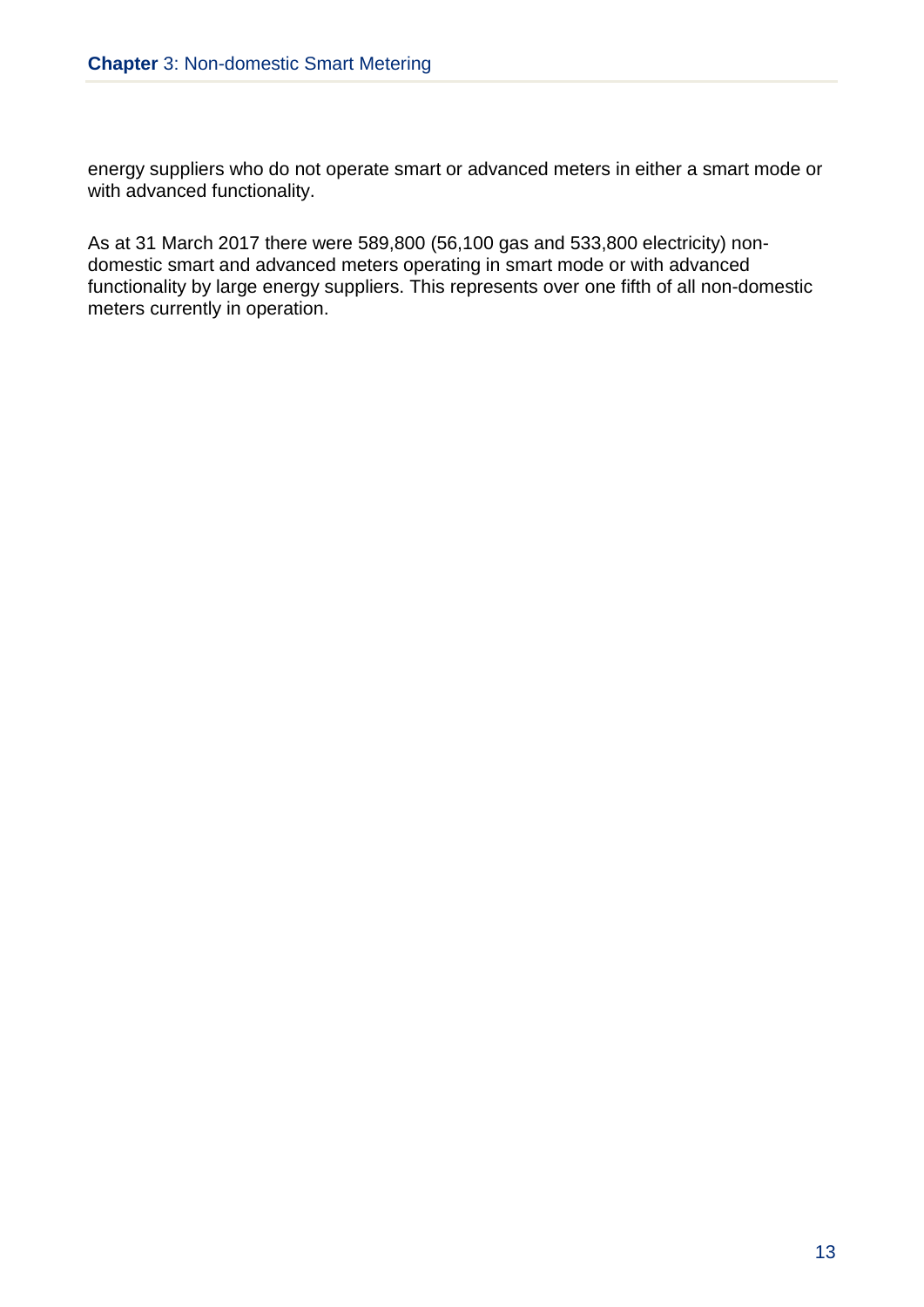energy suppliers who do not operate smart or advanced meters in either a smart mode or with advanced functionality.

As at 31 March 2017 there were 589,800 (56,100 gas and 533,800 electricity) nondomestic smart and advanced meters operating in smart mode or with advanced functionality by large energy suppliers. This represents over one fifth of all non-domestic meters currently in operation.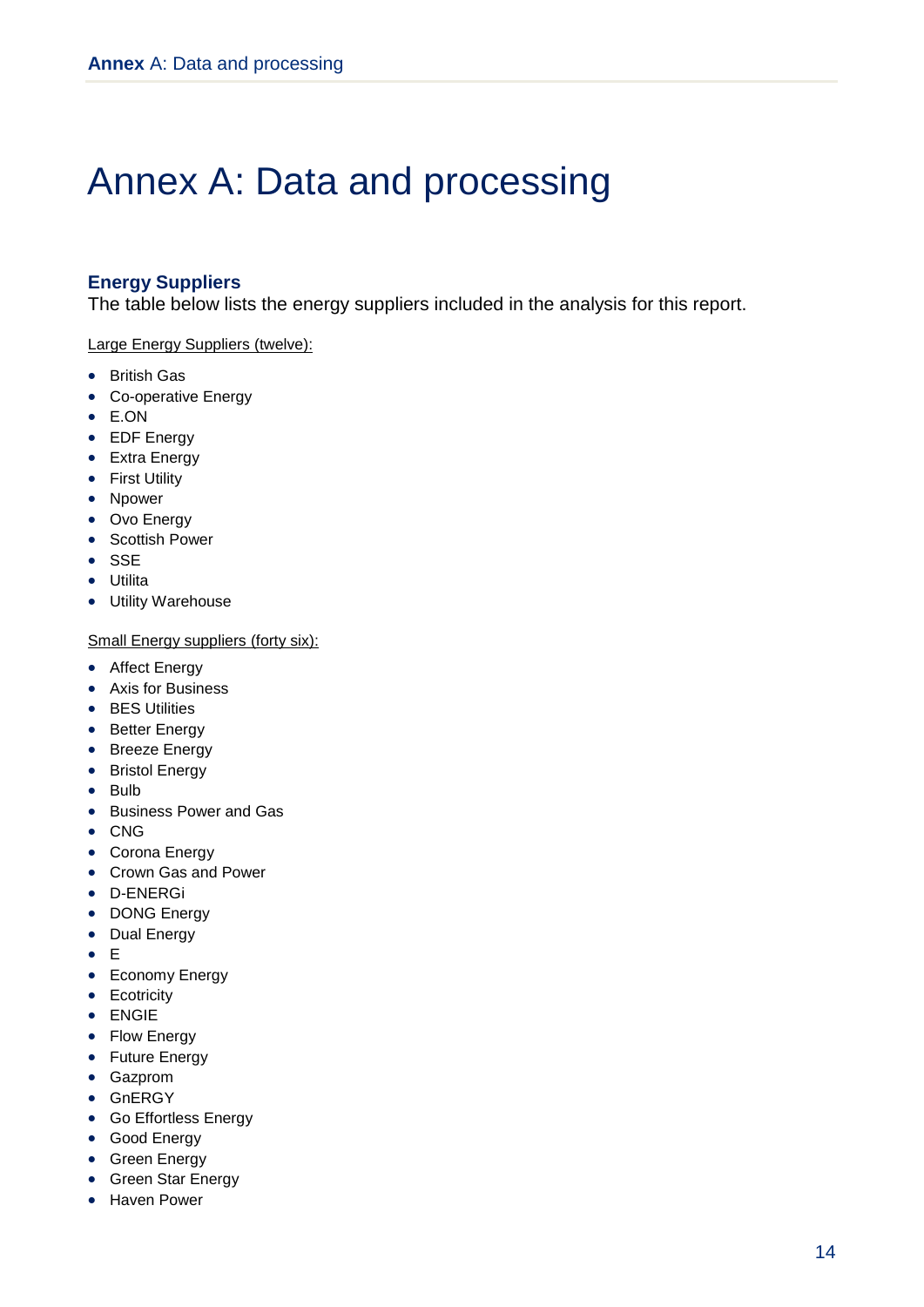# <span id="page-14-0"></span>Annex A: Data and processing

#### **Energy Suppliers**

The table below lists the energy suppliers included in the analysis for this report.

Large Energy Suppliers (twelve):

- **•** British Gas
- Co-operative Energy
- E.ON
- EDF Energy
- Extra Energy
- **•** First Utility
- Npower
- Ovo Energy
- Scottish Power
- SSE
- Utilita
- Utility Warehouse

#### Small Energy suppliers (forty six):

- Affect Energy
- Axis for Business
- BES Utilities
- Better Energy
- Breeze Energy
- Bristol Energy
- $\bullet$  Bulb
- Business Power and Gas
- CNG
- Corona Energy
- Crown Gas and Power
- D-ENERGi
- DONG Energy
- Dual Energy
- $\bullet$  E
- Economy Energy
- Ecotricity
- **•** ENGIE
- Flow Energy
- Future Energy
- Gazprom
- GnERGY
- Go Effortless Energy
- Good Energy
- Green Energy
- Green Star Energy
- Haven Power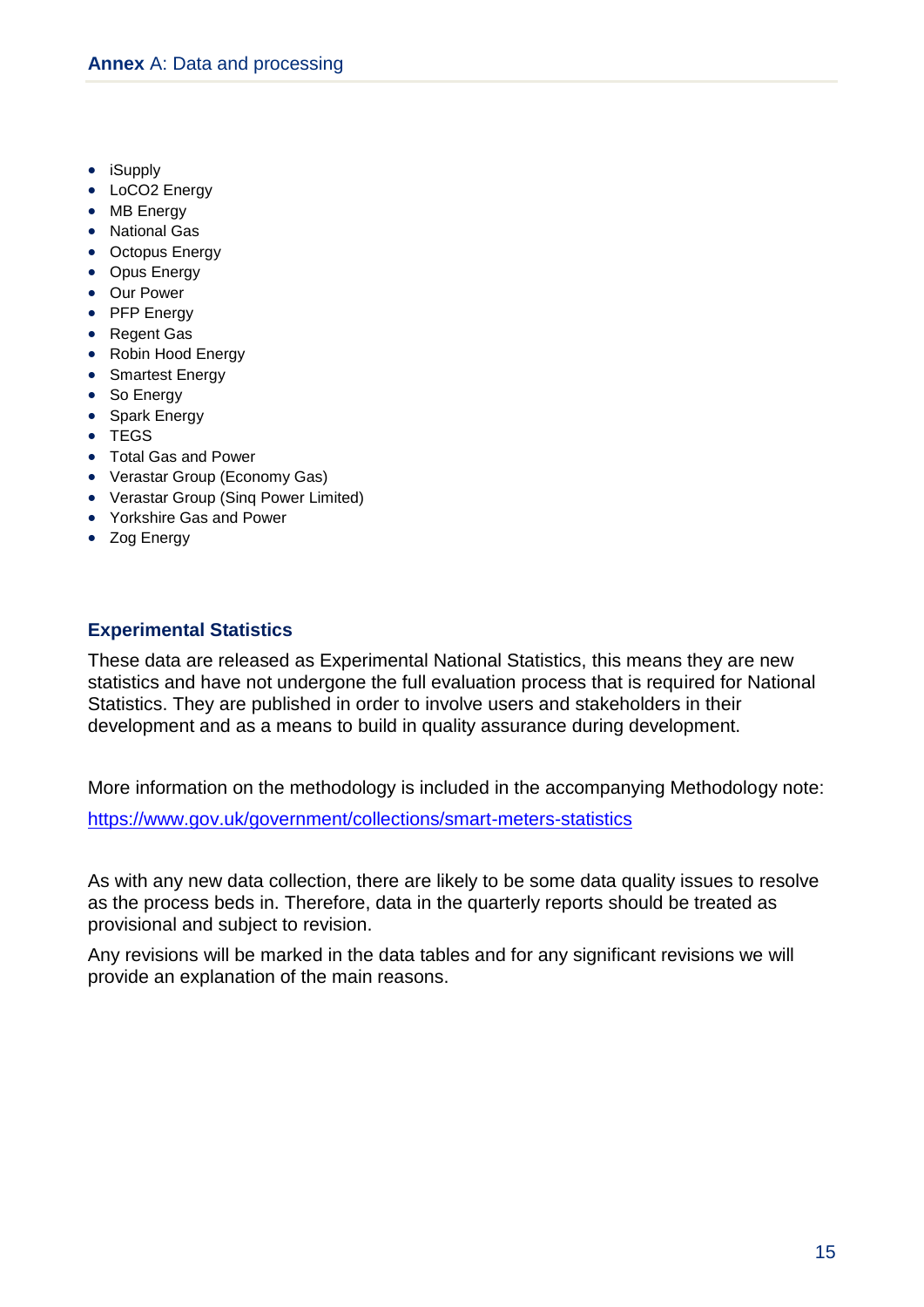- iSupply
- LoCO2 Energy
- MB Energy
- National Gas
- Octopus Energy
- Opus Energy
- Our Power
- PFP Energy
- Regent Gas
- Robin Hood Energy
- Smartest Energy
- So Energy
- Spark Energy
- TEGS
- Total Gas and Power
- Verastar Group (Economy Gas)
- Verastar Group (Sinq Power Limited)
- Yorkshire Gas and Power
- Zog Energy

#### **Experimental Statistics**

These data are released as Experimental National Statistics, this means they are new statistics and have not undergone the full evaluation process that is required for National Statistics. They are published in order to involve users and stakeholders in their development and as a means to build in quality assurance during development.

More information on the methodology is included in the accompanying Methodology note:

<https://www.gov.uk/government/collections/smart-meters-statistics>

As with any new data collection, there are likely to be some data quality issues to resolve as the process beds in. Therefore, data in the quarterly reports should be treated as provisional and subject to revision.

Any revisions will be marked in the data tables and for any significant revisions we will provide an explanation of the main reasons.